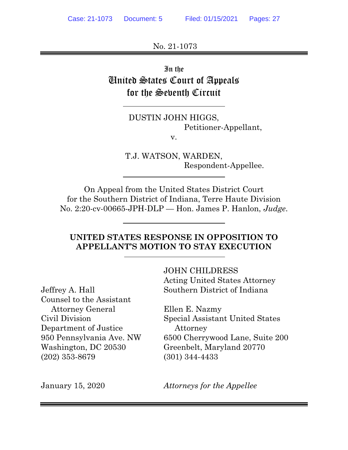No. 21-1073

In the United States Court of Appeals for the Seventh Circuit

> DUSTIN JOHN HIGGS, Petitioner-Appellant,

v.

T.J. WATSON, WARDEN, Respondent-Appellee.

On Appeal from the United States District Court for the Southern District of Indiana, Terre Haute Division No. 2:20-cv-00665-JPH-DLP — Hon. James P. Hanlon, *Judge*.

# **UNITED STATES RESPONSE IN OPPOSITION TO APPELLANT'S MOTION TO STAY EXECUTION**

Counsel to the Assistant Attorney General Ellen E. Nazmy Department of Justice Attorney (202) 353-8679 (301) 344-4433

JOHN CHILDRESS Acting United States Attorney Jeffrey A. Hall Southern District of Indiana

Civil Division Special Assistant United States 950 Pennsylvania Ave. NW 6500 Cherrywood Lane, Suite 200 Washington, DC 20530 Greenbelt, Maryland 20770

January 15, 2020 *Attorneys for the Appellee*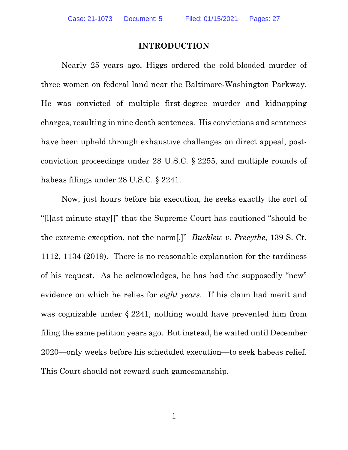### **INTRODUCTION**

Nearly 25 years ago, Higgs ordered the cold-blooded murder of three women on federal land near the Baltimore-Washington Parkway. He was convicted of multiple first-degree murder and kidnapping charges, resulting in nine death sentences. His convictions and sentences have been upheld through exhaustive challenges on direct appeal, postconviction proceedings under 28 U.S.C. § 2255, and multiple rounds of habeas filings under 28 U.S.C. § 2241.

Now, just hours before his execution, he seeks exactly the sort of "[l]ast-minute stay[]" that the Supreme Court has cautioned "should be the extreme exception, not the norm[.]" *Bucklew v. Precythe*, 139 S. Ct. 1112, 1134 (2019). There is no reasonable explanation for the tardiness of his request. As he acknowledges, he has had the supposedly "new" evidence on which he relies for *eight years*. If his claim had merit and was cognizable under § 2241, nothing would have prevented him from filing the same petition years ago. But instead, he waited until December 2020—only weeks before his scheduled execution—to seek habeas relief. This Court should not reward such gamesmanship.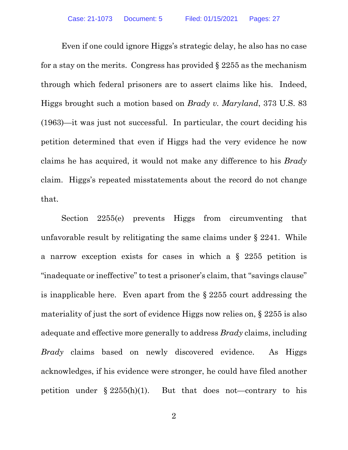Even if one could ignore Higgs's strategic delay, he also has no case for a stay on the merits. Congress has provided  $\S 2255$  as the mechanism through which federal prisoners are to assert claims like his. Indeed, Higgs brought such a motion based on *Brady v. Maryland*, 373 U.S. 83 (1963)—it was just not successful. In particular, the court deciding his petition determined that even if Higgs had the very evidence he now claims he has acquired, it would not make any difference to his *Brady* claim. Higgs's repeated misstatements about the record do not change that.

Section 2255(e) prevents Higgs from circumventing that unfavorable result by relitigating the same claims under § 2241. While a narrow exception exists for cases in which a § 2255 petition is "inadequate or ineffective" to test a prisoner's claim, that "savings clause" is inapplicable here. Even apart from the § 2255 court addressing the materiality of just the sort of evidence Higgs now relies on, § 2255 is also adequate and effective more generally to address *Brady* claims, including *Brady* claims based on newly discovered evidence. As Higgs acknowledges, if his evidence were stronger, he could have filed another petition under  $\S 2255(h)(1)$ . But that does not—contrary to his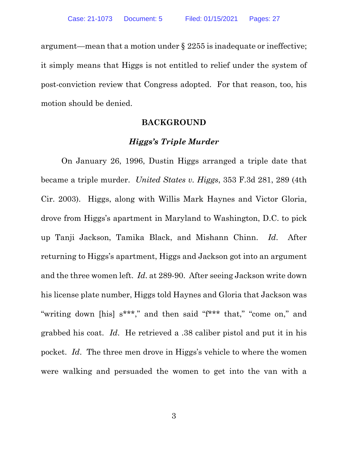argument—mean that a motion under § 2255 is inadequate or ineffective; it simply means that Higgs is not entitled to relief under the system of post-conviction review that Congress adopted. For that reason, too, his motion should be denied.

#### **BACKGROUND**

### *Higgs's Triple Murder*

On January 26, 1996, Dustin Higgs arranged a triple date that became a triple murder. *United States v. Higgs*, 353 F.3d 281, 289 (4th Cir. 2003). Higgs, along with Willis Mark Haynes and Victor Gloria, drove from Higgs's apartment in Maryland to Washington, D.C. to pick up Tanji Jackson, Tamika Black, and Mishann Chinn. *Id*. After returning to Higgs's apartment, Higgs and Jackson got into an argument and the three women left. *Id*. at 289-90. After seeing Jackson write down his license plate number, Higgs told Haynes and Gloria that Jackson was "writing down [his] s\*\*\*," and then said "f\*\*\* that," "come on," and grabbed his coat. *Id*. He retrieved a .38 caliber pistol and put it in his pocket. *Id*. The three men drove in Higgs's vehicle to where the women were walking and persuaded the women to get into the van with a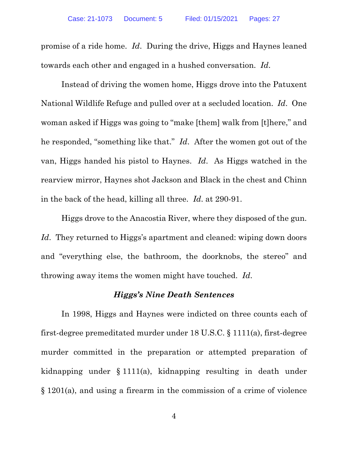promise of a ride home. *Id*. During the drive, Higgs and Haynes leaned towards each other and engaged in a hushed conversation. *Id*.

Instead of driving the women home, Higgs drove into the Patuxent National Wildlife Refuge and pulled over at a secluded location. *Id*. One woman asked if Higgs was going to "make [them] walk from [t]here," and he responded, "something like that." *Id*. After the women got out of the van, Higgs handed his pistol to Haynes. *Id*. As Higgs watched in the rearview mirror, Haynes shot Jackson and Black in the chest and Chinn in the back of the head, killing all three. *Id*. at 290-91.

Higgs drove to the Anacostia River, where they disposed of the gun. *Id*. They returned to Higgs's apartment and cleaned: wiping down doors and "everything else, the bathroom, the doorknobs, the stereo" and throwing away items the women might have touched. *Id*.

#### *Higgs's Nine Death Sentences*

In 1998, Higgs and Haynes were indicted on three counts each of first-degree premeditated murder under 18 U.S.C. § 1111(a), first-degree murder committed in the preparation or attempted preparation of kidnapping under § 1111(a), kidnapping resulting in death under § 1201(a), and using a firearm in the commission of a crime of violence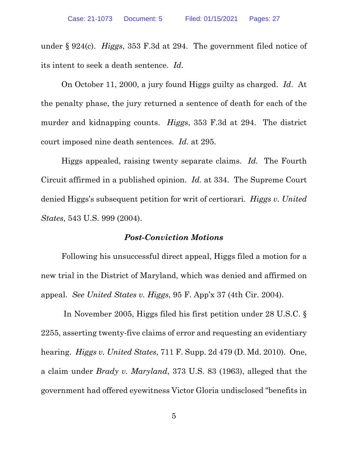under § 924(c). *Higgs*, 353 F.3d at 294. The government filed notice of its intent to seek a death sentence. *Id*.

On October 11, 2000, a jury found Higgs guilty as charged. *Id*. At the penalty phase, the jury returned a sentence of death for each of the murder and kidnapping counts. *Higgs*, 353 F.3d at 294. The district court imposed nine death sentences. *Id*. at 295.

Higgs appealed, raising twenty separate claims. *Id.* The Fourth Circuit affirmed in a published opinion. *Id.* at 334. The Supreme Court denied Higgs's subsequent petition for writ of certiorari. *Higgs v. United States*, 543 U.S. 999 (2004).

### *Post-Conviction Motions*

Following his unsuccessful direct appeal, Higgs filed a motion for a new trial in the District of Maryland, which was denied and affirmed on appeal. *See United States v. Higgs*, 95 F. App'x 37 (4th Cir. 2004).

 In November 2005, Higgs filed his first petition under 28 U.S.C. § 2255, asserting twenty-five claims of error and requesting an evidentiary hearing. *Higgs v. United States*, 711 F. Supp. 2d 479 (D. Md. 2010). One, a claim under *Brady v. Maryland*, 373 U.S. 83 (1963), alleged that the government had offered eyewitness Victor Gloria undisclosed "benefits in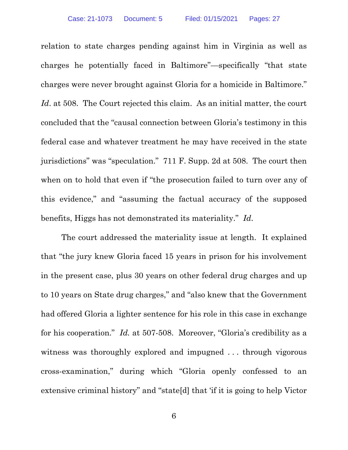relation to state charges pending against him in Virginia as well as charges he potentially faced in Baltimore"—specifically "that state charges were never brought against Gloria for a homicide in Baltimore." *Id.* at 508. The Court rejected this claim. As an initial matter, the court concluded that the "causal connection between Gloria's testimony in this federal case and whatever treatment he may have received in the state jurisdictions" was "speculation." 711 F. Supp. 2d at 508. The court then when on to hold that even if "the prosecution failed to turn over any of this evidence," and "assuming the factual accuracy of the supposed benefits, Higgs has not demonstrated its materiality." *Id*.

The court addressed the materiality issue at length. It explained that "the jury knew Gloria faced 15 years in prison for his involvement in the present case, plus 30 years on other federal drug charges and up to 10 years on State drug charges," and "also knew that the Government had offered Gloria a lighter sentence for his role in this case in exchange for his cooperation." *Id.* at 507-508. Moreover, "Gloria's credibility as a witness was thoroughly explored and impugned . . . through vigorous cross-examination," during which "Gloria openly confessed to an extensive criminal history" and "state[d] that 'if it is going to help Victor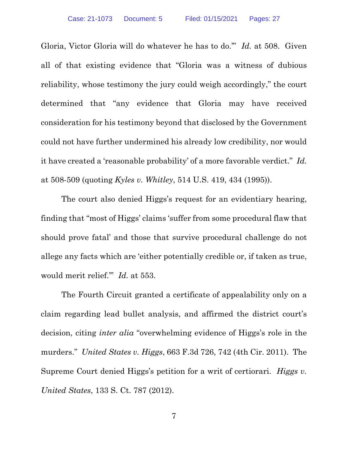Gloria, Victor Gloria will do whatever he has to do.'" *Id.* at 508. Given all of that existing evidence that "Gloria was a witness of dubious reliability, whose testimony the jury could weigh accordingly," the court determined that "any evidence that Gloria may have received consideration for his testimony beyond that disclosed by the Government could not have further undermined his already low credibility, nor would it have created a 'reasonable probability' of a more favorable verdict." *Id.* at 508-509 (quoting *Kyles v. Whitley*, 514 U.S. 419, 434 (1995)).

 The court also denied Higgs's request for an evidentiary hearing, finding that "most of Higgs' claims 'suffer from some procedural flaw that should prove fatal' and those that survive procedural challenge do not allege any facts which are 'either potentially credible or, if taken as true, would merit relief.'" *Id.* at 553.

The Fourth Circuit granted a certificate of appealability only on a claim regarding lead bullet analysis, and affirmed the district court's decision, citing *inter alia* "overwhelming evidence of Higgs's role in the murders." *United States v. Higgs*, 663 F.3d 726, 742 (4th Cir. 2011). The Supreme Court denied Higgs's petition for a writ of certiorari. *Higgs v. United States*, 133 S. Ct. 787 (2012).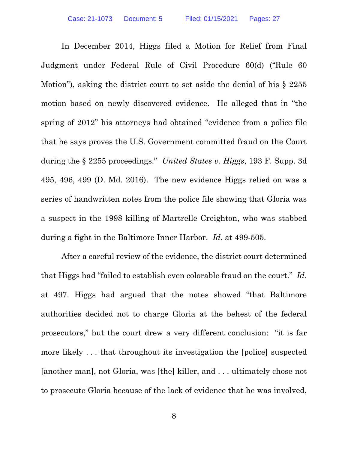In December 2014, Higgs filed a Motion for Relief from Final Judgment under Federal Rule of Civil Procedure 60(d) ("Rule 60 Motion"), asking the district court to set aside the denial of his § 2255 motion based on newly discovered evidence. He alleged that in "the spring of 2012" his attorneys had obtained "evidence from a police file that he says proves the U.S. Government committed fraud on the Court during the § 2255 proceedings." *United States v. Higgs*, 193 F. Supp. 3d 495, 496, 499 (D. Md. 2016). The new evidence Higgs relied on was a series of handwritten notes from the police file showing that Gloria was a suspect in the 1998 killing of Martrelle Creighton, who was stabbed during a fight in the Baltimore Inner Harbor. *Id*. at 499-505.

After a careful review of the evidence, the district court determined that Higgs had "failed to establish even colorable fraud on the court." *Id.* at 497. Higgs had argued that the notes showed "that Baltimore authorities decided not to charge Gloria at the behest of the federal prosecutors," but the court drew a very different conclusion: "it is far more likely . . . that throughout its investigation the [police] suspected [another man], not Gloria, was [the] killer, and . . . ultimately chose not to prosecute Gloria because of the lack of evidence that he was involved,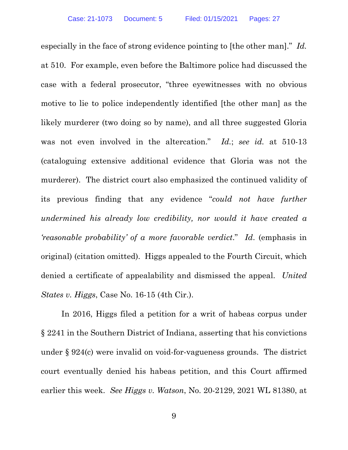especially in the face of strong evidence pointing to [the other man]." *Id.* at 510. For example, even before the Baltimore police had discussed the case with a federal prosecutor, "three eyewitnesses with no obvious motive to lie to police independently identified [the other man] as the likely murderer (two doing so by name), and all three suggested Gloria was not even involved in the altercation." *Id.*; *see id.* at 510-13 (cataloguing extensive additional evidence that Gloria was not the murderer). The district court also emphasized the continued validity of its previous finding that any evidence "*could not have further undermined his already low credibility, nor would it have created a 'reasonable probability' of a more favorable verdict*." *Id*. (emphasis in original) (citation omitted). Higgs appealed to the Fourth Circuit, which denied a certificate of appealability and dismissed the appeal. *United States v. Higgs*, Case No. 16-15 (4th Cir.).

In 2016, Higgs filed a petition for a writ of habeas corpus under § 2241 in the Southern District of Indiana, asserting that his convictions under § 924(c) were invalid on void-for-vagueness grounds. The district court eventually denied his habeas petition, and this Court affirmed earlier this week. *See Higgs v. Watson*, No. 20-2129, 2021 WL 81380, at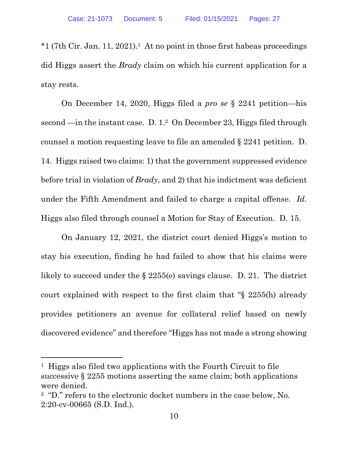$*1$  (7th Cir. Jan. 11, 2021).<sup>1</sup> At no point in those first habeas proceedings did Higgs assert the *Brady* claim on which his current application for a stay rests.

On December 14, 2020, Higgs filed a *pro se* § 2241 petition—his second —in the instant case. D. 1.2 On December 23, Higgs filed through counsel a motion requesting leave to file an amended § 2241 petition. D. 14. Higgs raised two claims: 1) that the government suppressed evidence before trial in violation of *Brady*, and 2) that his indictment was deficient under the Fifth Amendment and failed to charge a capital offense. *Id*. Higgs also filed through counsel a Motion for Stay of Execution. D. 15.

 On January 12, 2021, the district court denied Higgs's motion to stay his execution, finding he had failed to show that his claims were likely to succeed under the § 2255(e) savings clause. D. 21. The district court explained with respect to the first claim that "§ 2255(h) already provides petitioners an avenue for collateral relief based on newly discovered evidence" and therefore "Higgs has not made a strong showing

 $\overline{a}$ 

<sup>1</sup> Higgs also filed two applications with the Fourth Circuit to file successive § 2255 motions asserting the same claim; both applications were denied.

<sup>&</sup>lt;sup>2</sup> "D." refers to the electronic docket numbers in the case below, No. 2:20-cv-00665 (S.D. Ind.).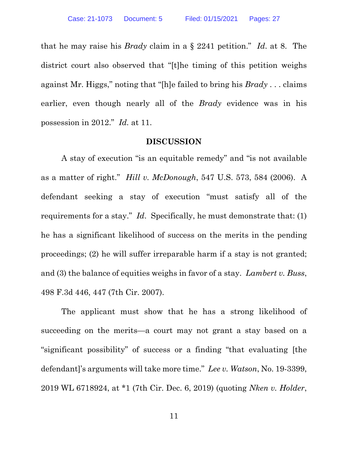that he may raise his *Brady* claim in a § 2241 petition." *Id*. at 8. The district court also observed that "[t]he timing of this petition weighs against Mr. Higgs," noting that "[h]e failed to bring his *Brady* . . . claims earlier, even though nearly all of the *Brady* evidence was in his possession in 2012." *Id.* at 11.

#### **DISCUSSION**

A stay of execution "is an equitable remedy" and "is not available as a matter of right." *Hill v. McDonough*, 547 U.S. 573, 584 (2006). A defendant seeking a stay of execution "must satisfy all of the requirements for a stay." *Id*. Specifically, he must demonstrate that: (1) he has a significant likelihood of success on the merits in the pending proceedings; (2) he will suffer irreparable harm if a stay is not granted; and (3) the balance of equities weighs in favor of a stay. *Lambert v. Buss*, 498 F.3d 446, 447 (7th Cir. 2007).

The applicant must show that he has a strong likelihood of succeeding on the merits—a court may not grant a stay based on a "significant possibility" of success or a finding "that evaluating [the defendant]'s arguments will take more time." *Lee v. Watson*, No. 19-3399, 2019 WL 6718924, at \*1 (7th Cir. Dec. 6, 2019) (quoting *Nken v. Holder*,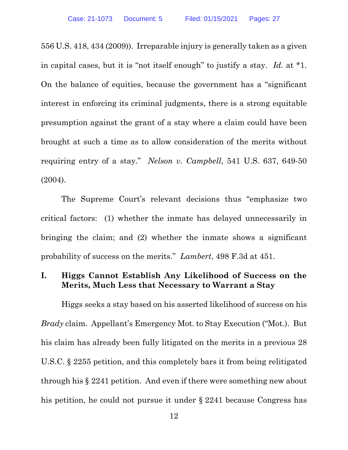556 U.S. 418, 434 (2009))*.* Irreparable injury is generally taken as a given in capital cases, but it is "not itself enough" to justify a stay. *Id.* at \*1. On the balance of equities, because the government has a "significant interest in enforcing its criminal judgments, there is a strong equitable presumption against the grant of a stay where a claim could have been brought at such a time as to allow consideration of the merits without requiring entry of a stay." *Nelson v. Campbell*, 541 U.S. 637, 649-50 (2004).

The Supreme Court's relevant decisions thus "emphasize two critical factors: (1) whether the inmate has delayed unnecessarily in bringing the claim; and (2) whether the inmate shows a significant probability of success on the merits." *Lambert*, 498 F.3d at 451.

# **I. Higgs Cannot Establish Any Likelihood of Success on the Merits, Much Less that Necessary to Warrant a Stay**

Higgs seeks a stay based on his asserted likelihood of success on his *Brady* claim. Appellant's Emergency Mot. to Stay Execution ("Mot.). But his claim has already been fully litigated on the merits in a previous 28 U.S.C. § 2255 petition, and this completely bars it from being relitigated through his § 2241 petition. And even if there were something new about his petition, he could not pursue it under § 2241 because Congress has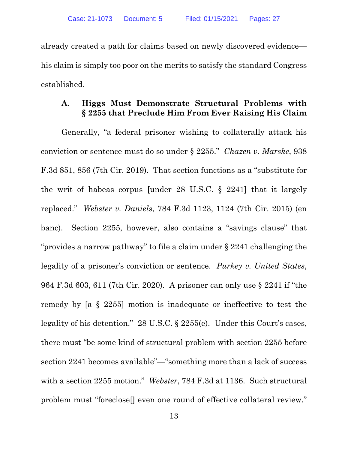already created a path for claims based on newly discovered evidence his claim is simply too poor on the merits to satisfy the standard Congress established.

## **A. Higgs Must Demonstrate Structural Problems with § 2255 that Preclude Him From Ever Raising His Claim**

Generally, "a federal prisoner wishing to collaterally attack his conviction or sentence must do so under § 2255." *Chazen v. Marske*, 938 F.3d 851, 856 (7th Cir. 2019). That section functions as a "substitute for the writ of habeas corpus [under 28 U.S.C. § 2241] that it largely replaced." *Webster v. Daniels*, 784 F.3d 1123, 1124 (7th Cir. 2015) (en banc). Section 2255, however, also contains a "savings clause" that "provides a narrow pathway" to file a claim under § 2241 challenging the legality of a prisoner's conviction or sentence. *Purkey v. United States*, 964 F.3d 603, 611 (7th Cir. 2020). A prisoner can only use § 2241 if "the remedy by [a § 2255] motion is inadequate or ineffective to test the legality of his detention." 28 U.S.C. § 2255(e). Under this Court's cases, there must "be some kind of structural problem with section 2255 before section 2241 becomes available"—"something more than a lack of success with a section 2255 motion." *Webster*, 784 F.3d at 1136. Such structural problem must "foreclose.] even one round of effective collateral review."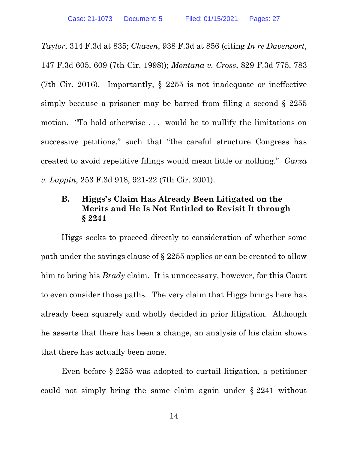*Taylor*, 314 F.3d at 835; *Chazen*, 938 F.3d at 856 (citing *In re Davenport*, 147 F.3d 605, 609 (7th Cir. 1998)); *Montana v. Cross*, 829 F.3d 775, 783 (7th Cir. 2016). Importantly, § 2255 is not inadequate or ineffective simply because a prisoner may be barred from filing a second § 2255 motion. "To hold otherwise . . . would be to nullify the limitations on successive petitions," such that "the careful structure Congress has created to avoid repetitive filings would mean little or nothing." *Garza v. Lappin*, 253 F.3d 918, 921-22 (7th Cir. 2001).

## **B. Higgs's Claim Has Already Been Litigated on the Merits and He Is Not Entitled to Revisit It through § 2241**

Higgs seeks to proceed directly to consideration of whether some path under the savings clause of § 2255 applies or can be created to allow him to bring his *Brady* claim. It is unnecessary, however, for this Court to even consider those paths. The very claim that Higgs brings here has already been squarely and wholly decided in prior litigation. Although he asserts that there has been a change, an analysis of his claim shows that there has actually been none.

Even before § 2255 was adopted to curtail litigation, a petitioner could not simply bring the same claim again under § 2241 without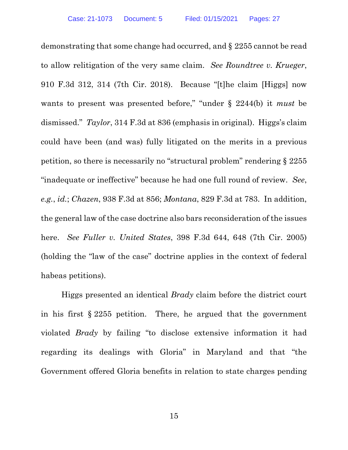demonstrating that some change had occurred, and § 2255 cannot be read to allow relitigation of the very same claim. *See Roundtree v. Krueger*, 910 F.3d 312, 314 (7th Cir. 2018). Because "[t]he claim [Higgs] now wants to present was presented before," "under § 2244(b) it *must* be dismissed." *Taylor*, 314 F.3d at 836 (emphasis in original). Higgs's claim could have been (and was) fully litigated on the merits in a previous petition, so there is necessarily no "structural problem" rendering § 2255 "inadequate or ineffective" because he had one full round of review. *See*, *e.g.*, *id.*; *Chazen*, 938 F.3d at 856; *Montana*, 829 F.3d at 783. In addition, the general law of the case doctrine also bars reconsideration of the issues here. *See Fuller v. United States*, 398 F.3d 644, 648 (7th Cir. 2005) (holding the "law of the case" doctrine applies in the context of federal habeas petitions).

 Higgs presented an identical *Brady* claim before the district court in his first § 2255 petition. There, he argued that the government violated *Brady* by failing "to disclose extensive information it had regarding its dealings with Gloria" in Maryland and that "the Government offered Gloria benefits in relation to state charges pending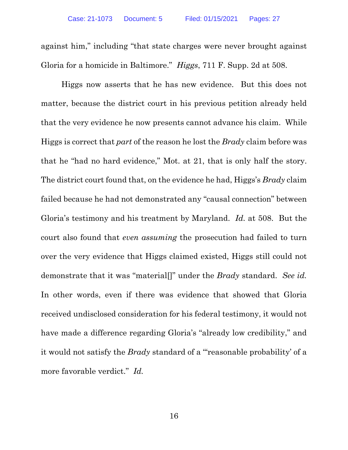against him," including "that state charges were never brought against Gloria for a homicide in Baltimore." *Higgs*, 711 F. Supp. 2d at 508.

Higgs now asserts that he has new evidence. But this does not matter, because the district court in his previous petition already held that the very evidence he now presents cannot advance his claim. While Higgs is correct that *part* of the reason he lost the *Brady* claim before was that he "had no hard evidence," Mot. at 21, that is only half the story. The district court found that, on the evidence he had, Higgs's *Brady* claim failed because he had not demonstrated any "causal connection" between Gloria's testimony and his treatment by Maryland. *Id.* at 508. But the court also found that *even assuming* the prosecution had failed to turn over the very evidence that Higgs claimed existed, Higgs still could not demonstrate that it was "material[]" under the *Brady* standard. *See id.* In other words, even if there was evidence that showed that Gloria received undisclosed consideration for his federal testimony, it would not have made a difference regarding Gloria's "already low credibility," and it would not satisfy the *Brady* standard of a "'reasonable probability' of a more favorable verdict." *Id.*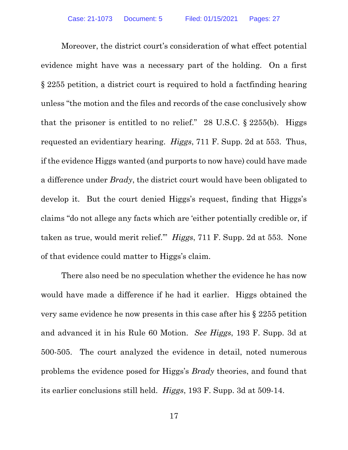Moreover, the district court's consideration of what effect potential evidence might have was a necessary part of the holding. On a first § 2255 petition, a district court is required to hold a factfinding hearing unless "the motion and the files and records of the case conclusively show that the prisoner is entitled to no relief." 28 U.S.C.  $\S$  2255(b). Higgs requested an evidentiary hearing. *Higgs*, 711 F. Supp. 2d at 553. Thus, if the evidence Higgs wanted (and purports to now have) could have made a difference under *Brady*, the district court would have been obligated to develop it. But the court denied Higgs's request, finding that Higgs's claims "do not allege any facts which are 'either potentially credible or, if taken as true, would merit relief.'" *Higgs*, 711 F. Supp. 2d at 553. None of that evidence could matter to Higgs's claim.

There also need be no speculation whether the evidence he has now would have made a difference if he had it earlier. Higgs obtained the very same evidence he now presents in this case after his § 2255 petition and advanced it in his Rule 60 Motion. *See Higgs*, 193 F. Supp. 3d at 500-505. The court analyzed the evidence in detail, noted numerous problems the evidence posed for Higgs's *Brady* theories, and found that its earlier conclusions still held. *Higgs*, 193 F. Supp. 3d at 509-14.

17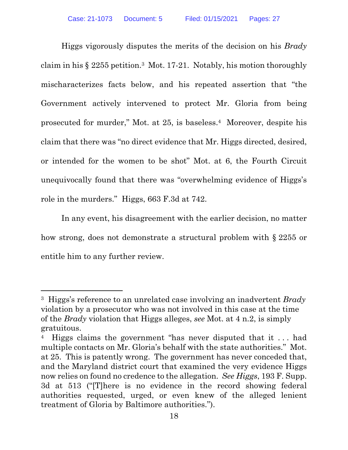Higgs vigorously disputes the merits of the decision on his *Brady* claim in his  $\S 2255$  petition.<sup>3</sup> Mot. 17-21. Notably, his motion thoroughly mischaracterizes facts below, and his repeated assertion that "the Government actively intervened to protect Mr. Gloria from being prosecuted for murder," Mot. at 25, is baseless.4 Moreover, despite his claim that there was "no direct evidence that Mr. Higgs directed, desired, or intended for the women to be shot" Mot. at 6, the Fourth Circuit unequivocally found that there was "overwhelming evidence of Higgs's role in the murders." Higgs, 663 F.3d at 742.

In any event, his disagreement with the earlier decision, no matter how strong, does not demonstrate a structural problem with § 2255 or entitle him to any further review.

-

<sup>3</sup> Higgs's reference to an unrelated case involving an inadvertent *Brady* violation by a prosecutor who was not involved in this case at the time of the *Brady* violation that Higgs alleges, *see* Mot. at 4 n.2, is simply gratuitous.

Higgs claims the government "has never disputed that it ... had multiple contacts on Mr. Gloria's behalf with the state authorities." Mot. at 25. This is patently wrong. The government has never conceded that, and the Maryland district court that examined the very evidence Higgs now relies on found no credence to the allegation. *See Higgs*, 193 F. Supp. 3d at 513 ("[T]here is no evidence in the record showing federal authorities requested, urged, or even knew of the alleged lenient treatment of Gloria by Baltimore authorities.").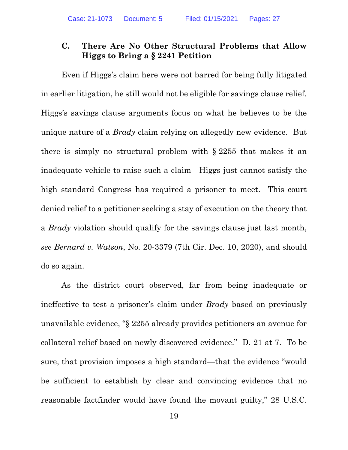# **C. There Are No Other Structural Problems that Allow Higgs to Bring a § 2241 Petition**

Even if Higgs's claim here were not barred for being fully litigated in earlier litigation, he still would not be eligible for savings clause relief. Higgs's savings clause arguments focus on what he believes to be the unique nature of a *Brady* claim relying on allegedly new evidence. But there is simply no structural problem with § 2255 that makes it an inadequate vehicle to raise such a claim—Higgs just cannot satisfy the high standard Congress has required a prisoner to meet. This court denied relief to a petitioner seeking a stay of execution on the theory that a *Brady* violation should qualify for the savings clause just last month, *see Bernard v. Watson*, No*.* 20-3379 (7th Cir. Dec. 10, 2020), and should do so again.

As the district court observed, far from being inadequate or ineffective to test a prisoner's claim under *Brady* based on previously unavailable evidence, "§ 2255 already provides petitioners an avenue for collateral relief based on newly discovered evidence." D. 21 at 7. To be sure, that provision imposes a high standard—that the evidence "would be sufficient to establish by clear and convincing evidence that no reasonable factfinder would have found the movant guilty," 28 U.S.C.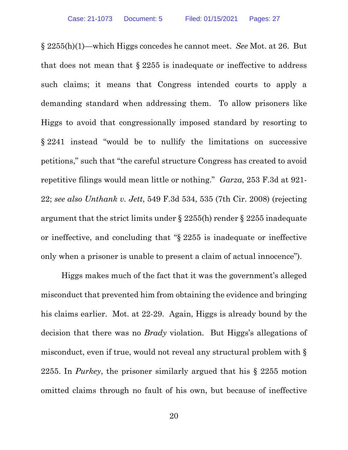§ 2255(h)(1)—which Higgs concedes he cannot meet. *See* Mot. at 26. But that does not mean that  $\S 2255$  is inadequate or ineffective to address such claims; it means that Congress intended courts to apply a demanding standard when addressing them. To allow prisoners like Higgs to avoid that congressionally imposed standard by resorting to § 2241 instead "would be to nullify the limitations on successive petitions," such that "the careful structure Congress has created to avoid repetitive filings would mean little or nothing." *Garza*, 253 F.3d at 921- 22; *see also Unthank v. Jett*, 549 F.3d 534, 535 (7th Cir. 2008) (rejecting argument that the strict limits under § 2255(h) render § 2255 inadequate or ineffective, and concluding that "§ 2255 is inadequate or ineffective only when a prisoner is unable to present a claim of actual innocence").

Higgs makes much of the fact that it was the government's alleged misconduct that prevented him from obtaining the evidence and bringing his claims earlier. Mot. at 22-29. Again, Higgs is already bound by the decision that there was no *Brady* violation. But Higgs's allegations of misconduct, even if true, would not reveal any structural problem with § 2255. In *Purkey*, the prisoner similarly argued that his § 2255 motion omitted claims through no fault of his own, but because of ineffective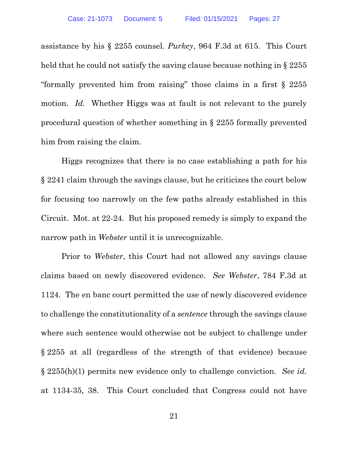assistance by his § 2255 counsel. *Purkey*, 964 F.3d at 615. This Court held that he could not satisfy the saving clause because nothing in § 2255 "formally prevented him from raising" those claims in a first § 2255 motion. *Id.* Whether Higgs was at fault is not relevant to the purely procedural question of whether something in § 2255 formally prevented him from raising the claim.

Higgs recognizes that there is no case establishing a path for his § 2241 claim through the savings clause, but he criticizes the court below for focusing too narrowly on the few paths already established in this Circuit. Mot. at 22-24. But his proposed remedy is simply to expand the narrow path in *Webster* until it is unrecognizable.

Prior to *Webster*, this Court had not allowed any savings clause claims based on newly discovered evidence. *See Webster*, 784 F.3d at 1124. The en banc court permitted the use of newly discovered evidence to challenge the constitutionality of a *sentence* through the savings clause where such sentence would otherwise not be subject to challenge under § 2255 at all (regardless of the strength of that evidence) because § 2255(h)(1) permits new evidence only to challenge conviction. *See id.*  at 1134-35, 38. This Court concluded that Congress could not have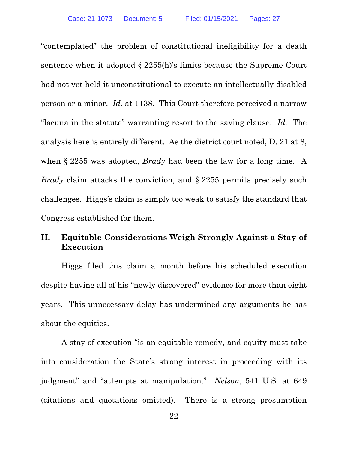"contemplated" the problem of constitutional ineligibility for a death sentence when it adopted § 2255(h)'s limits because the Supreme Court had not yet held it unconstitutional to execute an intellectually disabled person or a minor. *Id.* at 1138. This Court therefore perceived a narrow "lacuna in the statute" warranting resort to the saving clause. *Id.* The analysis here is entirely different. As the district court noted, D. 21 at 8, when § 2255 was adopted, *Brady* had been the law for a long time. A *Brady* claim attacks the conviction, and § 2255 permits precisely such challenges. Higgs's claim is simply too weak to satisfy the standard that Congress established for them.

# **II. Equitable Considerations Weigh Strongly Against a Stay of Execution**

Higgs filed this claim a month before his scheduled execution despite having all of his "newly discovered" evidence for more than eight years. This unnecessary delay has undermined any arguments he has about the equities.

A stay of execution "is an equitable remedy, and equity must take into consideration the State's strong interest in proceeding with its judgment" and "attempts at manipulation." *Nelson*, 541 U.S. at 649 (citations and quotations omitted). There is a strong presumption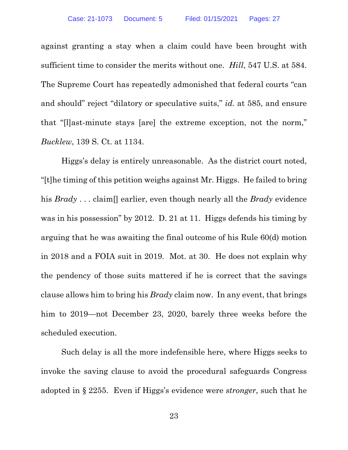against granting a stay when a claim could have been brought with sufficient time to consider the merits without one. *Hill*, 547 U.S. at 584. The Supreme Court has repeatedly admonished that federal courts "can and should" reject "dilatory or speculative suits," *id.* at 585, and ensure that "[l]ast-minute stays [are] the extreme exception, not the norm," *Bucklew*, 139 S. Ct. at 1134.

Higgs's delay is entirely unreasonable. As the district court noted, "[t]he timing of this petition weighs against Mr. Higgs. He failed to bring his *Brady* . . . claim[] earlier, even though nearly all the *Brady* evidence was in his possession" by 2012. D. 21 at 11. Higgs defends his timing by arguing that he was awaiting the final outcome of his Rule 60(d) motion in 2018 and a FOIA suit in 2019. Mot. at 30. He does not explain why the pendency of those suits mattered if he is correct that the savings clause allows him to bring his *Brady* claim now. In any event, that brings him to 2019—not December 23, 2020, barely three weeks before the scheduled execution.

Such delay is all the more indefensible here, where Higgs seeks to invoke the saving clause to avoid the procedural safeguards Congress adopted in § 2255. Even if Higgs's evidence were *stronger*, such that he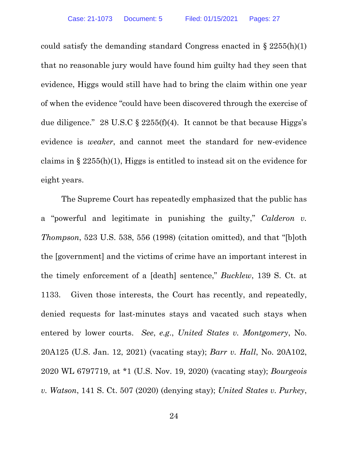could satisfy the demanding standard Congress enacted in  $\S 2255(h)(1)$ that no reasonable jury would have found him guilty had they seen that evidence, Higgs would still have had to bring the claim within one year of when the evidence "could have been discovered through the exercise of due diligence." 28 U.S.C  $\S$  2255(f)(4). It cannot be that because Higgs's evidence is *weaker*, and cannot meet the standard for new-evidence claims in § 2255(h)(1), Higgs is entitled to instead sit on the evidence for eight years.

The Supreme Court has repeatedly emphasized that the public has a "powerful and legitimate in punishing the guilty," *Calderon v. Thompson*, 523 U.S. 538, 556 (1998) (citation omitted), and that "[b]oth the [government] and the victims of crime have an important interest in the timely enforcement of a [death] sentence," *Bucklew*, 139 S. Ct. at 1133. Given those interests, the Court has recently, and repeatedly, denied requests for last-minutes stays and vacated such stays when entered by lower courts. *See*, *e.g*., *United States v. Montgomery*, No. 20A125 (U.S. Jan. 12, 2021) (vacating stay); *Barr v. Hall*, No. 20A102, 2020 WL 6797719, at \*1 (U.S. Nov. 19, 2020) (vacating stay); *Bourgeois v. Watson*, 141 S. Ct. 507 (2020) (denying stay); *United States v. Purkey*,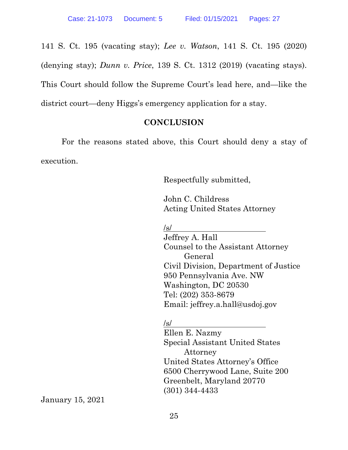141 S. Ct. 195 (vacating stay); *Lee v. Watson*, 141 S. Ct. 195 (2020) (denying stay); *Dunn v. Price*, 139 S. Ct. 1312 (2019) (vacating stays). This Court should follow the Supreme Court's lead here, and—like the district court—deny Higgs's emergency application for a stay.

# **CONCLUSION**

 For the reasons stated above, this Court should deny a stay of execution.

Respectfully submitted,

John C. Childress Acting United States Attorney

/s/

Jeffrey A. Hall Counsel to the Assistant Attorney General Civil Division, Department of Justice 950 Pennsylvania Ave. NW Washington, DC 20530 Tel: (202) 353-8679 Email: jeffrey.a.hall@usdoj.gov

/s/

Ellen E. Nazmy Special Assistant United States Attorney United States Attorney's Office 6500 Cherrywood Lane, Suite 200 Greenbelt, Maryland 20770 (301) 344-4433

January 15, 2021